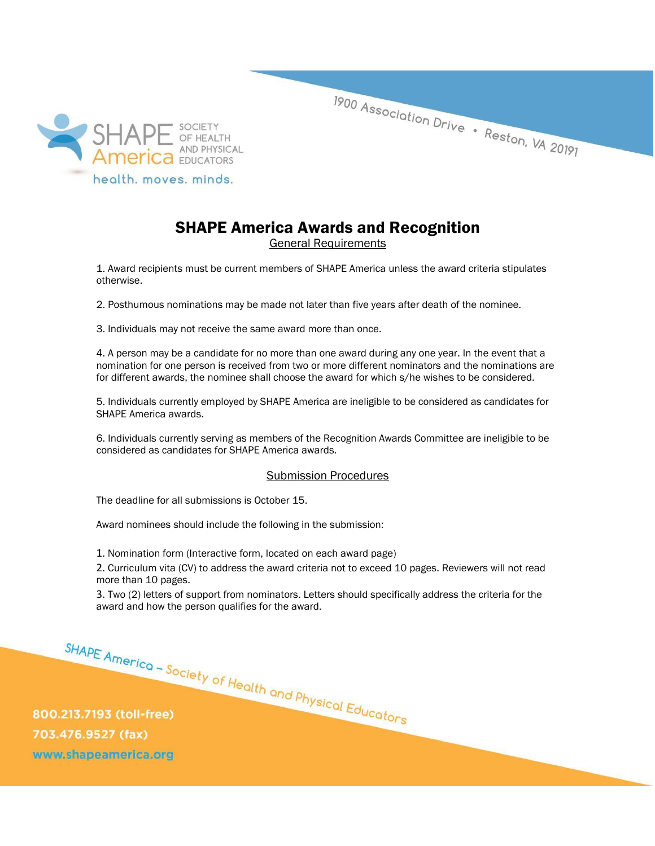

1900 Association Drive . Reston, VA 20191

## SHAPE America Awards and Recognition

General Requirements

1. Award recipients must be current members of SHAPE America unless the award criteria stipulates otherwise.

2. Posthumous nominations may be made not later than five years after death of the nominee.

3. Individuals may not receive the same award more than once.

4. A person may be a candidate for no more than one award during any one year. In the event that a nomination for one person is received from two or more different nominators and the nominations are for different awards, the nominee shall choose the award for which s/he wishes to be considered.

5. Individuals currently employed by SHAPE America are ineligible to be considered as candidates for SHAPE America awards.

6. Individuals currently serving as members of the Recognition Awards Committee are ineligible to be considered as candidates for SHAPE America awards.

## Submission Procedures

The deadline for all submissions is October 15.

Award nominees should include the following in the submission:

1. Nomination form (Interactive form, located on each award page)

2. Curriculum vita (CV) to address the award criteria not to exceed 10 pages. Reviewers will not read more than 10 pages.

3. Two (2) letters of support from nominators. Letters should specifically address the criteria for the award and how the person qualifies for the award.

SHAPE America – Society of Health and Physical Educators<br>213.7193 (toll-free) 800.213.7193 (toll-free) 703.476.9527 (fax) www.shapeamerica.org